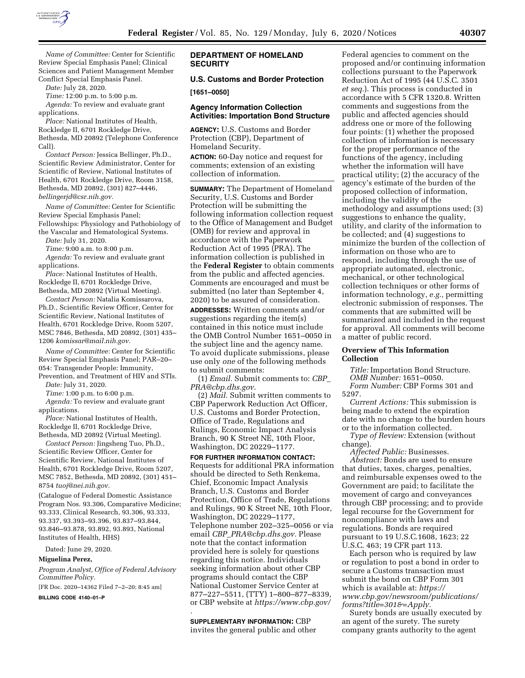

*Name of Committee:* Center for Scientific Review Special Emphasis Panel; Clinical Sciences and Patient Management Member Conflict Special Emphasis Panel.

*Date:* July 28, 2020.

*Time:* 12:00 p.m. to 5:00 p.m. *Agenda:* To review and evaluate grant

applications.

*Place:* National Institutes of Health, Rockledge II, 6701 Rockledge Drive, Bethesda, MD 20892 (Telephone Conference Call).

*Contact Person:* Jessica Bellinger, Ph.D., Scientific Review Administrator, Center for Scientific of Review, National Institutes of Health, 6701 Rockledge Drive, Room 3158, Bethesda, MD 20892, (301) 827–4446, *[bellingerjd@csr.nih.gov.](mailto:bellingerjd@csr.nih.gov)* 

*Name of Committee:* Center for Scientific Review Special Emphasis Panel; Fellowships: Physiology and Pathobiology of the Vascular and Hematological Systems.

*Date:* July 31, 2020.

*Time:* 9:00 a.m. to 8:00 p.m.

*Agenda:* To review and evaluate grant applications.

*Place:* National Institutes of Health, Rockledge II, 6701 Rockledge Drive, Bethesda, MD 20892 (Virtual Meeting).

*Contact Person:* Natalia Komissarova, Ph.D., Scientific Review Officer, Center for Scientific Review, National Institutes of Health, 6701 Rockledge Drive, Room 5207, MSC 7846, Bethesda, MD 20892, (301) 435– 1206 *[komissar@mail.nih.gov.](mailto:komissar@mail.nih.gov)* 

*Name of Committee:* Center for Scientific Review Special Emphasis Panel; PAR–20– 054: Transgender People: Immunity, Prevention, and Treatment of HIV and STIs.

*Date:* July 31, 2020.

*Time:* 1:00 p.m. to 6:00 p.m.

*Agenda:* To review and evaluate grant applications.

*Place:* National Institutes of Health, Rockledge II, 6701 Rockledge Drive, Bethesda, MD 20892 (Virtual Meeting).

*Contact Person:* Jingsheng Tuo, Ph.D., Scientific Review Officer, Center for Scientific Review, National Institutes of Health, 6701 Rockledge Drive, Room 5207, MSC 7852, Bethesda, MD 20892, (301) 451– 8754 *[tuoj@nei.nih.gov.](mailto:tuoj@nei.nih.gov)* 

(Catalogue of Federal Domestic Assistance Program Nos. 93.306, Comparative Medicine; 93.333, Clinical Research, 93.306, 93.333, 93.337, 93.393–93.396, 93.837–93.844, 93.846–93.878, 93.892, 93.893, National Institutes of Health, HHS)

Dated: June 29, 2020.

#### **Miguelina Perez,**

*Program Analyst, Office of Federal Advisory Committee Policy.* 

[FR Doc. 2020–14362 Filed 7–2–20; 8:45 am]

**BILLING CODE 4140–01–P** 

## **DEPARTMENT OF HOMELAND SECURITY**

**U.S. Customs and Border Protection** 

**[1651–0050]** 

## **Agency Information Collection Activities: Importation Bond Structure**

**AGENCY:** U.S. Customs and Border Protection (CBP), Department of Homeland Security.

**ACTION:** 60-Day notice and request for comments; extension of an existing collection of information.

**SUMMARY:** The Department of Homeland Security, U.S. Customs and Border Protection will be submitting the following information collection request to the Office of Management and Budget (OMB) for review and approval in accordance with the Paperwork Reduction Act of 1995 (PRA). The information collection is published in the **Federal Register** to obtain comments from the public and affected agencies. Comments are encouraged and must be submitted (no later than September 4, 2020) to be assured of consideration.

**ADDRESSES:** Written comments and/or suggestions regarding the item(s) contained in this notice must include the OMB Control Number 1651–0050 in the subject line and the agency name. To avoid duplicate submissions, please use only *one* of the following methods to submit comments:

(1) *Email.* Submit comments to: *[CBP](mailto:CBP_PRA@cbp.dhs.gov)*\_ *[PRA@cbp.dhs.gov](mailto:CBP_PRA@cbp.dhs.gov)*.

(2) *Mail.* Submit written comments to CBP Paperwork Reduction Act Officer, U.S. Customs and Border Protection, Office of Trade, Regulations and Rulings, Economic Impact Analysis Branch, 90 K Street NE, 10th Floor, Washington, DC 20229–1177.

**FOR FURTHER INFORMATION CONTACT:**  Requests for additional PRA information should be directed to Seth Renkema, Chief, Economic Impact Analysis Branch, U.S. Customs and Border Protection, Office of Trade, Regulations and Rulings, 90 K Street NE, 10th Floor, Washington, DC 20229–1177, Telephone number 202–325–0056 or via email *CBP*\_*[PRA@cbp.dhs.gov.](mailto:CBP_PRA@cbp.dhs.gov)* Please note that the contact information provided here is solely for questions regarding this notice. Individuals seeking information about other CBP programs should contact the CBP National Customer Service Center at 877–227–5511, (TTY) 1–800–877–8339, or CBP website at *<https://www.cbp.gov/>*

**SUPPLEMENTARY INFORMATION:** CBP invites the general public and other

*.* 

Federal agencies to comment on the proposed and/or continuing information collections pursuant to the Paperwork Reduction Act of 1995 (44 U.S.C. 3501 *et seq.*). This process is conducted in accordance with 5 CFR 1320.8. Written comments and suggestions from the public and affected agencies should address one or more of the following four points: (1) whether the proposed collection of information is necessary for the proper performance of the functions of the agency, including whether the information will have practical utility; (2) the accuracy of the agency's estimate of the burden of the proposed collection of information, including the validity of the methodology and assumptions used; (3) suggestions to enhance the quality, utility, and clarity of the information to be collected; and (4) suggestions to minimize the burden of the collection of information on those who are to respond, including through the use of appropriate automated, electronic, mechanical, or other technological collection techniques or other forms of information technology, *e.g.,* permitting electronic submission of responses. The comments that are submitted will be summarized and included in the request for approval. All comments will become a matter of public record.

### **Overview of This Information Collection**

*Title:* Importation Bond Structure. *OMB Number:* 1651–0050.

*Form Number:* CBP Forms 301 and 5297.

*Current Actions:* This submission is being made to extend the expiration date with no change to the burden hours or to the information collected.

*Type of Review:* Extension (without change).

*Affected Public:* Businesses. *Abstract:* Bonds are used to ensure that duties, taxes, charges, penalties, and reimbursable expenses owed to the Government are paid; to facilitate the movement of cargo and conveyances through CBP processing; and to provide legal recourse for the Government for noncompliance with laws and regulations. Bonds are required pursuant to 19 U.S.C.1608, 1623; 22 U.S.C. 463; 19 CFR part 113.

Each person who is required by law or regulation to post a bond in order to secure a Customs transaction must submit the bond on CBP Form 301 which is available at: *[https://](https://www.cbp.gov/newsroom/publications/forms?title=301&=Apply) [www.cbp.gov/newsroom/publications/](https://www.cbp.gov/newsroom/publications/forms?title=301&=Apply) [forms?title=301&=Apply.](https://www.cbp.gov/newsroom/publications/forms?title=301&=Apply)* 

Surety bonds are usually executed by an agent of the surety. The surety company grants authority to the agent